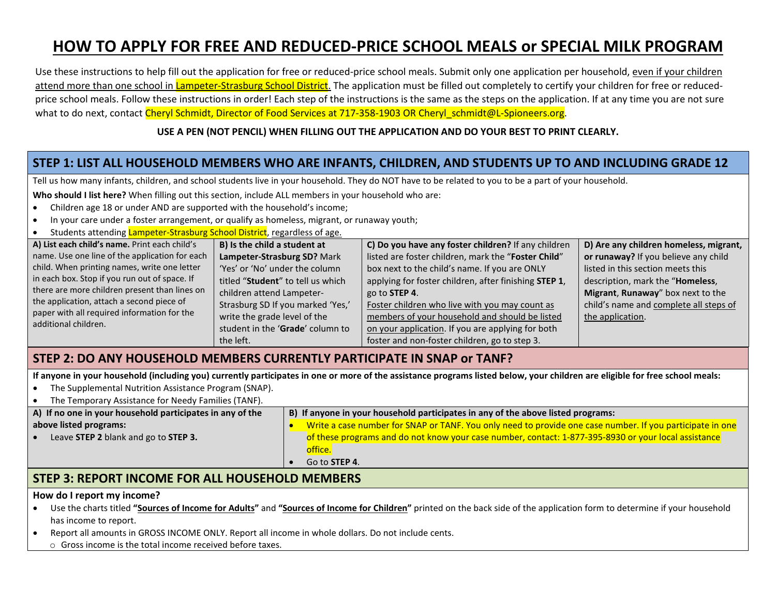# **HOW TO APPLY FOR FREE AND REDUCED-PRICE SCHOOL MEALS or SPECIAL MILK PROGRAM**

Use these instructions to help fill out the application for free or reduced-price school meals. Submit only one application per household, even if your children attend more than one school in Lampeter-Strasburg School District. The application must be filled out completely to certify your children for free or reducedprice school meals. Follow these instructions in order! Each step of the instructions is the same as the steps on the application. If at any time you are not sure what to do next, contact Cheryl Schmidt, Director of Food Services at 717-358-1903 OR Cheryl\_schmidt@L-Spioneers.org.

#### **USE A PEN (NOT PENCIL) WHEN FILLING OUT THE APPLICATION AND DO YOUR BEST TO PRINT CLEARLY.**

## **STEP 1: LIST ALL HOUSEHOLD MEMBERS WHO ARE INFANTS, CHILDREN, AND STUDENTS UP TO AND INCLUDING GRADE 12**

Tell us how many infants, children, and school students live in your household. They do NOT have to be related to you to be a part of your household.

**Who should I list here?** When filling out this section, include ALL members in your household who are:

- Children age 18 or under AND are supported with the household's income;
- In your care under a foster arrangement, or qualify as homeless, migrant, or runaway youth;
- Students attending Lampeter-Strasburg School District, regardless of age.

| A) List each child's name. Print each child's  | B) Is the child a student at               | C) Do you have any foster children? If any children   | D) Are any children homeless, migrant, |
|------------------------------------------------|--------------------------------------------|-------------------------------------------------------|----------------------------------------|
| name. Use one line of the application for each | Lampeter-Strasburg SD? Mark                | listed are foster children, mark the "Foster Child"   | or runaway? If you believe any child   |
| child. When printing names, write one letter   | 'Yes' or 'No' under the column'            | box next to the child's name. If you are ONLY         | listed in this section meets this      |
| in each box. Stop if you run out of space. If  | titled " <b>Student</b> " to tell us which | applying for foster children, after finishing STEP 1, | description, mark the "Homeless,       |
| there are more children present than lines on  | children attend Lampeter-                  | go to STEP 4.                                         | Migrant, Runaway" box next to the      |
| the application, attach a second piece of      | Strasburg SD If you marked 'Yes,'          | Foster children who live with you may count as        | child's name and complete all steps of |
| paper with all required information for the    | write the grade level of the               | members of your household and should be listed        | the application.                       |
| additional children.                           | student in the 'Grade' column to           | on your application. If you are applying for both     |                                        |
|                                                | the left.                                  | foster and non-foster children, go to step 3.         |                                        |

#### **STEP 2: DO ANY HOUSEHOLD MEMBERS CURRENTLY PARTICIPATE IN SNAP or TANF?**

**If anyone in your household (including you) currently participates in one or more of the assistance programs listed below, your children are eligible for free school meals:**

- The Supplemental Nutrition Assistance Program (SNAP).
- The Temporary Assistance for Needy Families (TANF).

| A) If no one in your household participates in any of the | B) If anyone in your household participates in any of the above listed programs:                                                         |  |
|-----------------------------------------------------------|------------------------------------------------------------------------------------------------------------------------------------------|--|
| above listed programs:                                    | Write a case number for SNAP or TANF. You only need to provide one case number. If you participate in one                                |  |
| Leave STEP 2 blank and go to STEP 3.                      | of these programs and do not know your case number, contact: 1-877-395-8930 or your local assistance<br>office.<br>Go to <b>STEP 4</b> . |  |
|                                                           |                                                                                                                                          |  |

#### **STEP 3: REPORT INCOME FOR ALL HOUSEHOLD MEMBERS**

#### **How do I report my income?**

- Use the charts titled **"Sources of Income for Adults"** and **"Sources of Income for Children"** printed on the back side of the application form to determine if your household has income to report.
- Report all amounts in GROSS INCOME ONLY. Report all income in whole dollars. Do not include cents.
	- o Gross income is the total income received before taxes.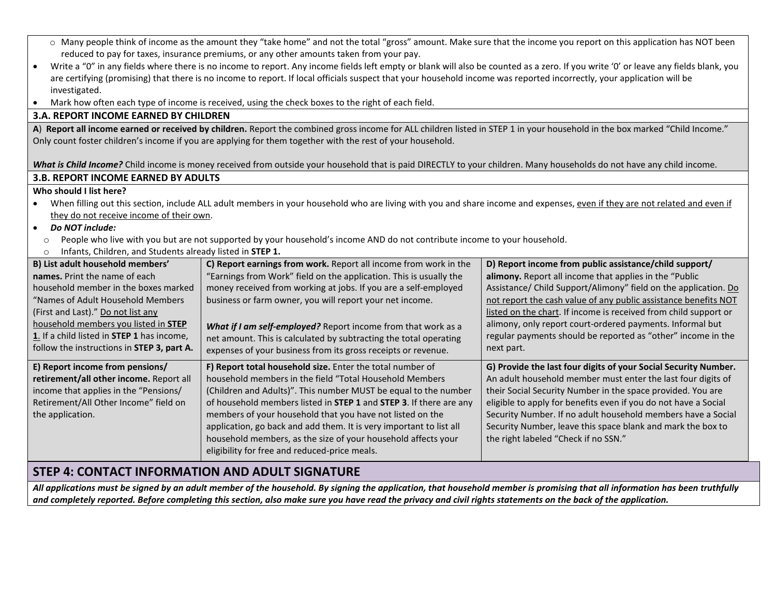| ○ Many people think of income as the amount they "take home" and not the total "gross" amount. Make sure that the income you report on this application has NOT been                             |                                                                                                                                                                        |                                                                  |  |  |  |  |
|--------------------------------------------------------------------------------------------------------------------------------------------------------------------------------------------------|------------------------------------------------------------------------------------------------------------------------------------------------------------------------|------------------------------------------------------------------|--|--|--|--|
| reduced to pay for taxes, insurance premiums, or any other amounts taken from your pay.                                                                                                          |                                                                                                                                                                        |                                                                  |  |  |  |  |
| Write a "0" in any fields where there is no income to report. Any income fields left empty or blank will also be counted as a zero. If you write '0' or leave any fields blank, you<br>$\bullet$ |                                                                                                                                                                        |                                                                  |  |  |  |  |
| are certifying (promising) that there is no income to report. If local officials suspect that your household income was reported incorrectly, your application will be                           |                                                                                                                                                                        |                                                                  |  |  |  |  |
| investigated.                                                                                                                                                                                    |                                                                                                                                                                        |                                                                  |  |  |  |  |
| Mark how often each type of income is received, using the check boxes to the right of each field.<br>$\bullet$                                                                                   |                                                                                                                                                                        |                                                                  |  |  |  |  |
| <b>3.A. REPORT INCOME EARNED BY CHILDREN</b>                                                                                                                                                     |                                                                                                                                                                        |                                                                  |  |  |  |  |
| A) Report all income earned or received by children. Report the combined gross income for ALL children listed in STEP 1 in your household in the box marked "Child Income."                      |                                                                                                                                                                        |                                                                  |  |  |  |  |
|                                                                                                                                                                                                  | Only count foster children's income if you are applying for them together with the rest of your household.                                                             |                                                                  |  |  |  |  |
|                                                                                                                                                                                                  |                                                                                                                                                                        |                                                                  |  |  |  |  |
|                                                                                                                                                                                                  | What is Child Income? Child income is money received from outside your household that is paid DIRECTLY to your children. Many households do not have any child income. |                                                                  |  |  |  |  |
| <b>3.B. REPORT INCOME EARNED BY ADULTS</b>                                                                                                                                                       |                                                                                                                                                                        |                                                                  |  |  |  |  |
| Who should I list here?                                                                                                                                                                          |                                                                                                                                                                        |                                                                  |  |  |  |  |
| When filling out this section, include ALL adult members in your household who are living with you and share income and expenses, even if they are not related and even if                       |                                                                                                                                                                        |                                                                  |  |  |  |  |
| they do not receive income of their own.                                                                                                                                                         |                                                                                                                                                                        |                                                                  |  |  |  |  |
| Do NOT include:<br>$\bullet$                                                                                                                                                                     |                                                                                                                                                                        |                                                                  |  |  |  |  |
| $\circ$                                                                                                                                                                                          | People who live with you but are not supported by your household's income AND do not contribute income to your household.                                              |                                                                  |  |  |  |  |
| Infants, Children, and Students already listed in STEP 1.<br>$\circ$                                                                                                                             |                                                                                                                                                                        |                                                                  |  |  |  |  |
| B) List adult household members'                                                                                                                                                                 | C) Report earnings from work. Report all income from work in the                                                                                                       | D) Report income from public assistance/child support/           |  |  |  |  |
| names. Print the name of each                                                                                                                                                                    | "Earnings from Work" field on the application. This is usually the                                                                                                     | alimony. Report all income that applies in the "Public           |  |  |  |  |
| household member in the boxes marked                                                                                                                                                             | money received from working at jobs. If you are a self-employed                                                                                                        | Assistance/ Child Support/Alimony" field on the application. Do  |  |  |  |  |
| "Names of Adult Household Members                                                                                                                                                                | business or farm owner, you will report your net income.                                                                                                               | not report the cash value of any public assistance benefits NOT  |  |  |  |  |
| (First and Last)." Do not list any                                                                                                                                                               |                                                                                                                                                                        | listed on the chart. If income is received from child support or |  |  |  |  |
| household members you listed in STEP                                                                                                                                                             | What if I am self-employed? Report income from that work as a                                                                                                          | alimony, only report court-ordered payments. Informal but        |  |  |  |  |
| 1. If a child listed in STEP 1 has income,                                                                                                                                                       | net amount. This is calculated by subtracting the total operating                                                                                                      | regular payments should be reported as "other" income in the     |  |  |  |  |
| follow the instructions in STEP 3, part A.                                                                                                                                                       | expenses of your business from its gross receipts or revenue.                                                                                                          | next part.                                                       |  |  |  |  |
| E) Report income from pensions/                                                                                                                                                                  | F) Report total household size. Enter the total number of                                                                                                              | G) Provide the last four digits of your Social Security Number.  |  |  |  |  |
| retirement/all other income. Report all                                                                                                                                                          | household members in the field "Total Household Members                                                                                                                | An adult household member must enter the last four digits of     |  |  |  |  |
| income that applies in the "Pensions/                                                                                                                                                            | (Children and Adults)". This number MUST be equal to the number                                                                                                        | their Social Security Number in the space provided. You are      |  |  |  |  |
| Retirement/All Other Income" field on                                                                                                                                                            | of household members listed in STEP 1 and STEP 3. If there are any                                                                                                     | eligible to apply for benefits even if you do not have a Social  |  |  |  |  |
| the application.                                                                                                                                                                                 | members of your household that you have not listed on the                                                                                                              | Security Number. If no adult household members have a Social     |  |  |  |  |
|                                                                                                                                                                                                  | application, go back and add them. It is very important to list all                                                                                                    | Security Number, leave this space blank and mark the box to      |  |  |  |  |
|                                                                                                                                                                                                  | household members, as the size of your household affects your                                                                                                          | the right labeled "Check if no SSN."                             |  |  |  |  |
|                                                                                                                                                                                                  | eligibility for free and reduced-price meals.                                                                                                                          |                                                                  |  |  |  |  |
|                                                                                                                                                                                                  |                                                                                                                                                                        |                                                                  |  |  |  |  |
| STEP 4: CONTACT INFORMATION AND ADUIT SIGNATURE                                                                                                                                                  |                                                                                                                                                                        |                                                                  |  |  |  |  |

### **STEP 4: CONTACT INFORMATION AND ADULT SIGNATURE**

*All applications must be signed by an adult member of the household. By signing the application, that household member is promising that all information has been truthfully and completely reported. Before completing this section, also make sure you have read the privacy and civil rights statements on the back of the application.*